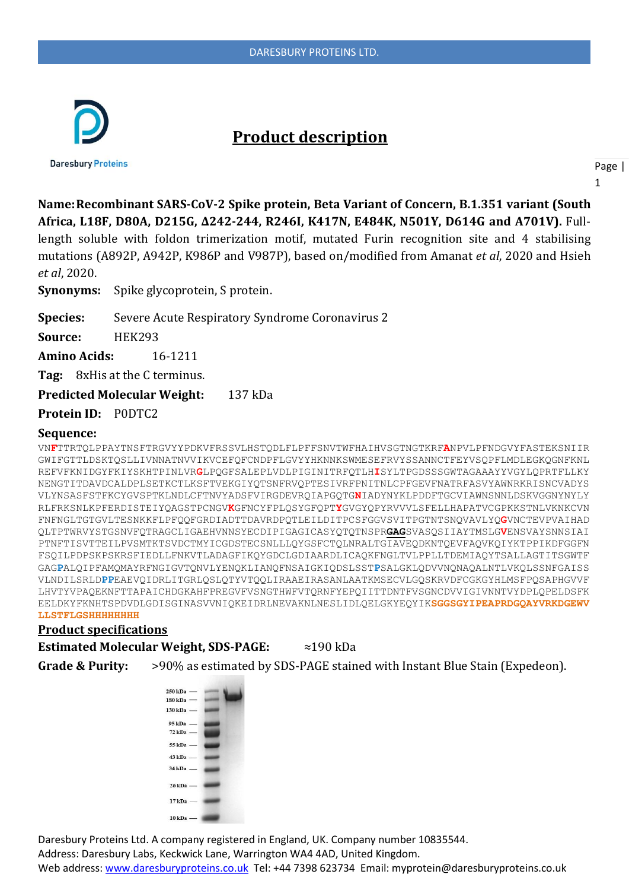

# **Product description**

**Daresbury Proteins** 

Page | 1

**Name:Recombinant SARS-CoV-2 Spike protein, Beta Variant of Concern, B.1.351 variant (South Africa, L18F, D80A, D215G, Δ242-244, R246I, K417N, E484K, N501Y, D614G and A701V).** Fulllength soluble with foldon trimerization motif, mutated Furin recognition site and 4 stabilising mutations (A892P, A942P, K986P and V987P), based on/modified from Amanat *et al*, 2020 and Hsieh *et al*, 2020.

**Synonyms:** Spike glycoprotein, S protein.

**Species:** Severe Acute Respiratory Syndrome Coronavirus 2

**Source:** HEK293

**Amino Acids:** 16-1211

**Tag:** 8xHis at the C terminus.

**Predicted Molecular Weight:** 137 kDa

**Protein ID:** P0DTC2

#### **Sequence:**

VN**F**TTRTQLPPAYTNSFTRGVYYPDKVFRSSVLHSTQDLFLPFFSNVTWFHAIHVSGTNGTKRF**A**NPVLPFNDGVYFASTEKSNIIR GWIFGTTLDSKTQSLLIVNNATNVVIKVCEFQFCNDPFLGVYYHKNNKSWMESEFRVYSSANNCTFEYVSQPFLMDLEGKQGNFKNL REFVFKNIDGYFKIYSKHTPINLVR**G**LPQGFSALEPLVDLPIGINITRFQTLH**I**SYLTPGDSSSGWTAGAAAYYVGYLQPRTFLLKY NENGTITDAVDCALDPLSETKCTLKSFTVEKGIYQTSNFRVQPTESIVRFPNITNLCPFGEVFNATRFASVYAWNRKRISNCVADYS VLYNSASFSTFKCYGVSPTKLNDLCFTNVYADSFVIRGDEVRQIAPGQTG**N**IADYNYKLPDDFTGCVIAWNSNNLDSKVGGNYNYLY RLFRKSNLKPFERDISTEIYQAGSTPCNGV**K**GFNCYFPLQSYGFQPT**Y**GVGYQPYRVVVLSFELLHAPATVCGPKKSTNLVKNKCVN FNFNGLTGTGVLTESNKKFLPFQQFGRDIADTTDAVRDPQTLEILDITPCSFGGVSVITPGTNTSNQVAVLYQ**G**VNCTEVPVAIHAD QLTPTWRVYSTGSNVFQTRAGCLIGAEHVNNSYECDIPIGAGICASYQTQTNSPR**GAG**SVASQSIIAYTMSLG**V**ENSVAYSNNSIAI PTNFTISVTTEILPVSMTKTSVDCTMYICGDSTECSNLLLQYGSFCTQLNRALTGIAVEQDKNTQEVFAQVKQIYKTPPIKDFGGFN FSQILPDPSKPSKRSFIEDLLFNKVTLADAGFIKQYGDCLGDIAARDLICAQKFNGLTVLPPLLTDEMIAQYTSALLAGTITSGWTF GAG**P**ALQIPFAMQMAYRFNGIGVTQNVLYENQKLIANQFNSAIGKIQDSLSST**P**SALGKLQDVVNQNAQALNTLVKQLSSNFGAISS VLNDILSRLD**PP**EAEVQIDRLITGRLQSLQTYVTQQLIRAAEIRASANLAATKMSECVLGQSKRVDFCGKGYHLMSFPQSAPHGVVF LHVTYVPAQEKNFTTAPAICHDGKAHFPREGVFVSNGTHWFVTQRNFYEPQIITTDNTFVSGNCDVVIGIVNNTVYDPLQPELDSFK EELDKYFKNHTSPDVDLGDISGINASVVNIQKEIDRLNEVAKNLNESLIDLQELGKYEQYIK**SGGSGYIPEAPRDGQAYVRKDGEWV LLSTFLGSHHHHHHHH**

#### **Product specifications**

**Estimated Molecular Weight, SDS-PAGE:** ≈190 kDa

**Grade & Purity:** >90% as estimated by SDS-PAGE stained with Instant Blue Stain (Expedeon).



Daresbury Proteins Ltd. A company registered in England, UK. Company number 10835544. Address: Daresbury Labs, Keckwick Lane, Warrington WA4 4AD, United Kingdom. Web address[: www.daresburyproteins.co.uk](http://www.daresburyproteins.co.uk/) Tel: +44 7398 623734 Email: myprotein@daresburyproteins.co.uk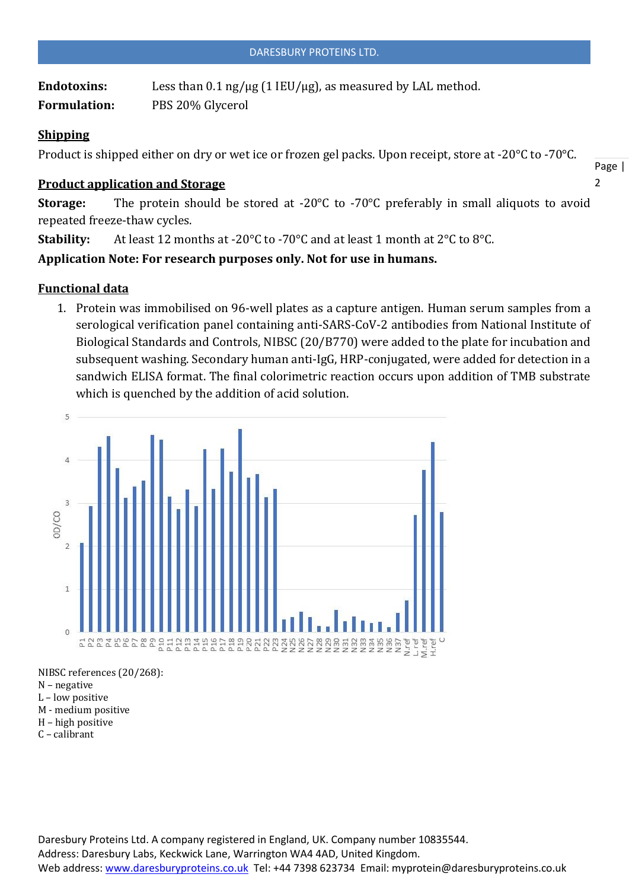Endotoxins: Less than 0.1 ng/µg (1 IEU/µg), as measured by LAL method. **Formulation:** PBS 20% Glycerol

## **Shipping**

Product is shipped either on dry or wet ice or frozen gel packs. Upon receipt, store at -20°C to -70°C.

### **Product application and Storage**

**Storage:** The protein should be stored at -20°C to -70°C preferably in small aliquots to avoid repeated freeze-thaw cycles.

Page |  $\overline{2}$ 

**Stability:** At least 12 months at -20°C to -70°C and at least 1 month at 2°C to 8°C.

**Application Note: For research purposes only. Not for use in humans.**

### **Functional data**

1. Protein was immobilised on 96-well plates as a capture antigen. Human serum samples from a serological verification panel containing anti-SARS-CoV-2 antibodies from National Institute of Biological Standards and Controls, NIBSC (20/B770) were added to the plate for incubation and subsequent washing. Secondary human anti-IgG, HRP-conjugated, were added for detection in a sandwich ELISA format. The final colorimetric reaction occurs upon addition of TMB substrate which is quenched by the addition of acid solution.



NIBSC references (20/268):

- N negative
- L low positive
- M medium positive
- H high positive C – calibrant
- 

Daresbury Proteins Ltd. A company registered in England, UK. Company number 10835544. Address: Daresbury Labs, Keckwick Lane, Warrington WA4 4AD, United Kingdom. Web address[: www.daresburyproteins.co.uk](http://www.daresburyproteins.co.uk/) Tel: +44 7398 623734 Email: myprotein@daresburyproteins.co.uk